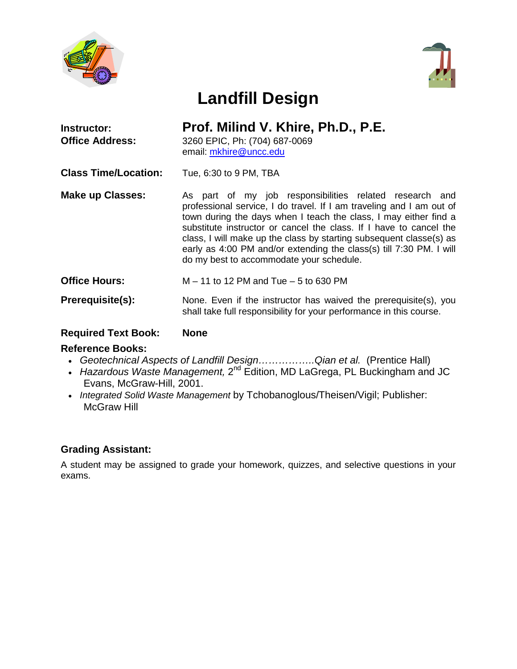



# **Landfill Design**

| <b>Instructor:</b><br><b>Office Address:</b> | Prof. Milind V. Khire, Ph.D., P.E.<br>3260 EPIC, Ph: (704) 687-0069<br>email: mkhire@uncc.edu                                                                                                                                                                                                                                                                                                                                                                       |
|----------------------------------------------|---------------------------------------------------------------------------------------------------------------------------------------------------------------------------------------------------------------------------------------------------------------------------------------------------------------------------------------------------------------------------------------------------------------------------------------------------------------------|
| <b>Class Time/Location:</b>                  | Tue, 6:30 to 9 PM, TBA                                                                                                                                                                                                                                                                                                                                                                                                                                              |
| <b>Make up Classes:</b>                      | As part of my job responsibilities related research and<br>professional service, I do travel. If I am traveling and I am out of<br>town during the days when I teach the class, I may either find a<br>substitute instructor or cancel the class. If I have to cancel the<br>class, I will make up the class by starting subsequent classe(s) as<br>early as 4:00 PM and/or extending the class(s) till 7:30 PM. I will<br>do my best to accommodate your schedule. |
| <b>Office Hours:</b>                         | $M - 11$ to 12 PM and Tue $-5$ to 630 PM                                                                                                                                                                                                                                                                                                                                                                                                                            |

**Prerequisite(s):** None. Even if the instructor has waived the prerequisite(s), you shall take full responsibility for your performance in this course.

# **Required Text Book: None**

### **Reference Books:**

- *Geotechnical Aspects of Landfill Design……………..Qian et al.* (Prentice Hall)
- *Hazardous Waste Management,* 2<sup>nd</sup> Edition, MD LaGrega, PL Buckingham and JC Evans, McGraw-Hill, 2001.
- *Integrated Solid Waste Management* by Tchobanoglous/Theisen/Vigil; Publisher: McGraw Hill

# **Grading Assistant:**

A student may be assigned to grade your homework, quizzes, and selective questions in your exams.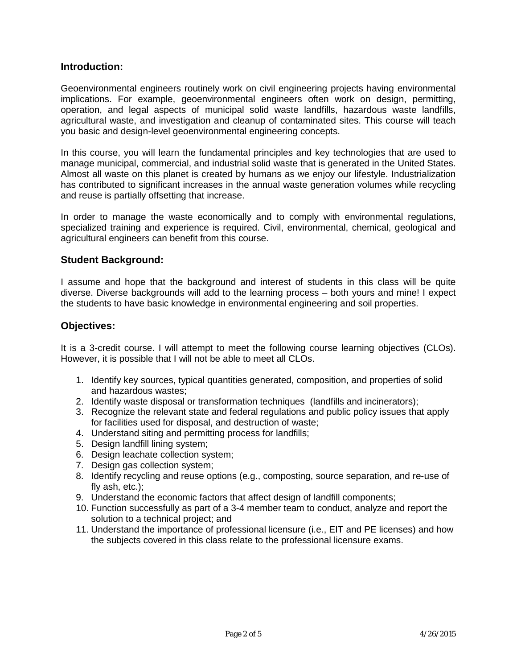### **Introduction:**

Geoenvironmental engineers routinely work on civil engineering projects having environmental implications. For example, geoenvironmental engineers often work on design, permitting, operation, and legal aspects of municipal solid waste landfills, hazardous waste landfills, agricultural waste, and investigation and cleanup of contaminated sites. This course will teach you basic and design-level geoenvironmental engineering concepts.

In this course, you will learn the fundamental principles and key technologies that are used to manage municipal, commercial, and industrial solid waste that is generated in the United States. Almost all waste on this planet is created by humans as we enjoy our lifestyle. Industrialization has contributed to significant increases in the annual waste generation volumes while recycling and reuse is partially offsetting that increase.

In order to manage the waste economically and to comply with environmental regulations, specialized training and experience is required. Civil, environmental, chemical, geological and agricultural engineers can benefit from this course.

# **Student Background:**

I assume and hope that the background and interest of students in this class will be quite diverse. Diverse backgrounds will add to the learning process – both yours and mine! I expect the students to have basic knowledge in environmental engineering and soil properties.

# **Objectives:**

It is a 3-credit course. I will attempt to meet the following course learning objectives (CLOs). However, it is possible that I will not be able to meet all CLOs.

- 1. Identify key sources, typical quantities generated, composition, and properties of solid and hazardous wastes;
- 2. Identify waste disposal or transformation techniques (landfills and incinerators);
- 3. Recognize the relevant state and federal regulations and public policy issues that apply for facilities used for disposal, and destruction of waste;
- 4. Understand siting and permitting process for landfills;
- 5. Design landfill lining system;
- 6. Design leachate collection system;
- 7. Design gas collection system;
- 8. Identify recycling and reuse options (e.g., composting, source separation, and re-use of fly ash, etc.);
- 9. Understand the economic factors that affect design of landfill components;
- 10. Function successfully as part of a 3-4 member team to conduct, analyze and report the solution to a technical project; and
- 11. Understand the importance of professional licensure (i.e., EIT and PE licenses) and how the subjects covered in this class relate to the professional licensure exams.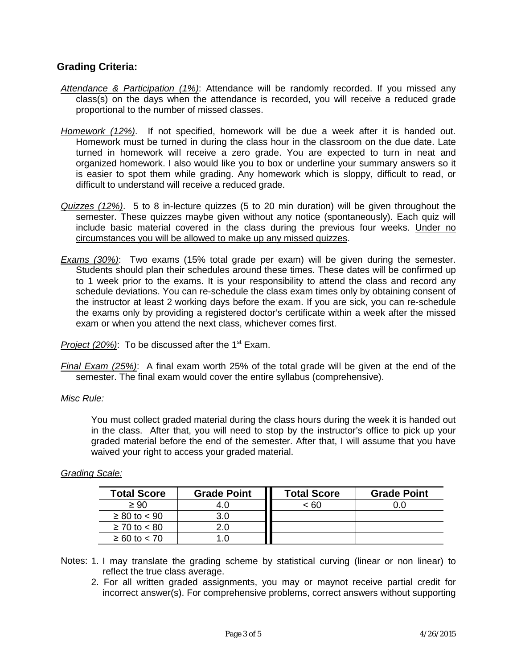# **Grading Criteria:**

- *Attendance & Participation (1%)*: Attendance will be randomly recorded. If you missed any class(s) on the days when the attendance is recorded, you will receive a reduced grade proportional to the number of missed classes.
- *Homework (12%)*. If not specified, homework will be due a week after it is handed out. Homework must be turned in during the class hour in the classroom on the due date. Late turned in homework will receive a zero grade. You are expected to turn in neat and organized homework. I also would like you to box or underline your summary answers so it is easier to spot them while grading. Any homework which is sloppy, difficult to read, or difficult to understand will receive a reduced grade.
- *Quizzes (12%)*. 5 to 8 in-lecture quizzes (5 to 20 min duration) will be given throughout the semester. These quizzes maybe given without any notice (spontaneously). Each quiz will include basic material covered in the class during the previous four weeks. Under no circumstances you will be allowed to make up any missed quizzes.
- *Exams (30%)*: Two exams (15% total grade per exam) will be given during the semester. Students should plan their schedules around these times. These dates will be confirmed up to 1 week prior to the exams. It is your responsibility to attend the class and record any schedule deviations. You can re-schedule the class exam times only by obtaining consent of the instructor at least 2 working days before the exam. If you are sick, you can re-schedule the exams only by providing a registered doctor's certificate within a week after the missed exam or when you attend the next class, whichever comes first.

*Project (20%)*: To be discussed after the 1<sup>st</sup> Exam.

*Final Exam (25%)*: A final exam worth 25% of the total grade will be given at the end of the semester. The final exam would cover the entire syllabus (comprehensive).

#### *Misc Rule:*

You must collect graded material during the class hours during the week it is handed out in the class. After that, you will need to stop by the instructor's office to pick up your graded material before the end of the semester. After that, I will assume that you have waived your right to access your graded material.

### *Grading Scale:*

| <b>Total Score</b> | <b>Grade Point</b> | <b>Total Score</b> | <b>Grade Point</b> |
|--------------------|--------------------|--------------------|--------------------|
| $\geq 90$          |                    | < 60               |                    |
| $≥ 80$ to < 90     | 3.0                |                    |                    |
| $≥ 70$ to < 80     |                    |                    |                    |
| $≥ 60$ to < 70     |                    |                    |                    |

- Notes: 1. I may translate the grading scheme by statistical curving (linear or non linear) to reflect the true class average.
	- 2. For all written graded assignments, you may or maynot receive partial credit for incorrect answer(s). For comprehensive problems, correct answers without supporting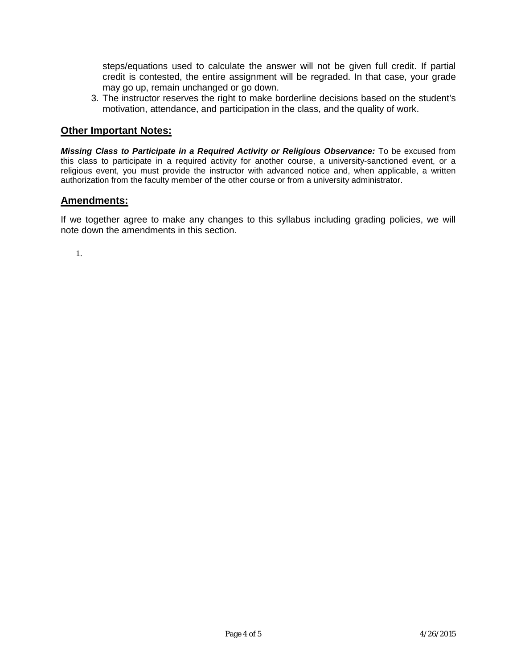steps/equations used to calculate the answer will not be given full credit. If partial credit is contested, the entire assignment will be regraded. In that case, your grade may go up, remain unchanged or go down.

3. The instructor reserves the right to make borderline decisions based on the student's motivation, attendance, and participation in the class, and the quality of work.

#### **Other Important Notes:**

*Missing Class to Participate in a Required Activity or Religious Observance:* To be excused from this class to participate in a required activity for another course, a university-sanctioned event, or a religious event, you must provide the instructor with advanced notice and, when applicable, a written authorization from the faculty member of the other course or from a university administrator.

#### **Amendments:**

If we together agree to make any changes to this syllabus including grading policies, we will note down the amendments in this section.

1.